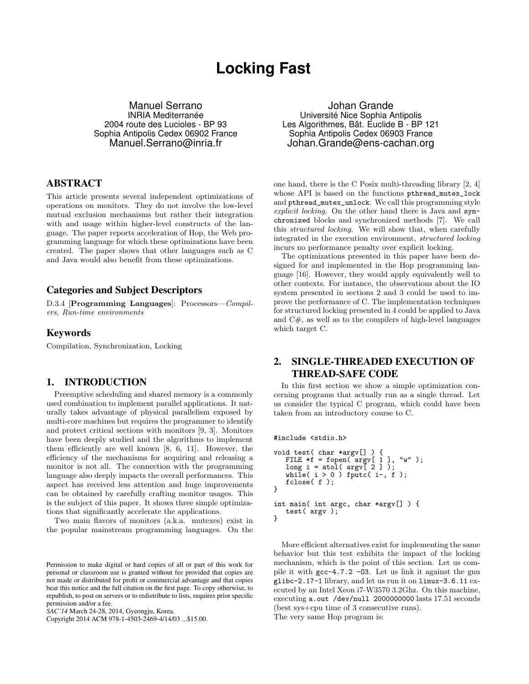# **Locking Fast**

Manuel Serrano INRIA Mediterranée 2004 route des Lucioles - BP 93 Sophia Antipolis Cedex 06902 France Manuel.Serrano@inria.fr

#### ABSTRACT

This article presents several independent optimizations of operations on monitors. They do not involve the low-level mutual exclusion mechanisms but rather their integration with and usage within higher-level constructs of the language. The paper reports acceleration of Hop, the Web programming language for which these optimizations have been created. The paper shows that other languages such as C and Java would also benefit from these optimizations.

#### Categories and Subject Descriptors

D.3.4 [Programming Languages]: Processors—Compilers, Run-time environments

#### Keywords

Compilation, Synchronization, Locking

#### 1. INTRODUCTION

Preemptive scheduling and shared memory is a commonly used combination to implement parallel applications. It naturally takes advantage of physical parallelism exposed by multi-core machines but requires the programmer to identify and protect critical sections with monitors [9, 3]. Monitors have been deeply studied and the algorithms to implement them efficiently are well known [8, 6, 11]. However, the efficiency of the mechanisms for acquiring and releasing a monitor is not all. The connection with the programming language also deeply impacts the overall performances. This aspect has received less attention and huge improvements can be obtained by carefully crafting monitor usages. This is the subject of this paper. It shows three simple optimizations that significantly accelerate the applications.

Two main flavors of monitors (a.k.a. mutexes) exist in the popular mainstream programming languages. On the

Copyright 2014 ACM 978-1-4503-2469-4/14/03 ...\$15.00.

Johan Grande Université Nice Sophia Antipolis Les Algorithmes, Bât. Euclide B - BP 121 Sophia Antipolis Cedex 06903 France Johan.Grande@ens-cachan.org

one hand, there is the C Posix multi-threading library [2, 4] whose API is based on the functions pthread\_mutex\_lock and pthread\_mutex\_unlock. We call this programming style explicit locking. On the other hand there is Java and synchronized blocks and synchronized methods [7]. We call this structured locking. We will show that, when carefully integrated in the execution environment, structured locking incurs no performance penalty over explicit locking.

The optimizations presented in this paper have been designed for and implemented in the Hop programming language [16]. However, they would apply equivalently well to other contexts. For instance, the observations about the IO system presented in sections 2 and 3 could be used to improve the performance of C. The implementation techniques for structured locking presented in 4 could be applied to Java and C#, as well as to the compilers of high-level languages which target C.

# 2. SINGLE-THREADED EXECUTION OF THREAD-SAFE CODE

In this first section we show a simple optimization concerning programs that actually run as a single thread. Let us consider the typical C program, which could have been taken from an introductory course to C.

#include <stdio.h>

```
void test( char *argv[] ) {
   FILE *f = fopen(\argv[ 1 ], "w" );
   long i = atol( argv [ 2 ] );
   while( i > 0 ) fputc( i-, f );
   fclose( f );
\mathbf{r}int main( int argc, char *argv[] ) {
   test( argv );
}
```
More efficient alternatives exist for implementing the same behavior but this test exhibits the impact of the locking mechanism, which is the point of this section. Let us compile it with gcc-4.7.2 -O3. Let us link it against the gnu glibc-2.17-1 library, and let us run it on linux-3.6.11 executed by an Intel Xeon i7-W3570 3.2Ghz. On this machine, executing a.out /dev/null 2000000000 lasts 17.51 seconds (best sys+cpu time of 3 consecutive runs). The very same Hop program is:

Permission to make digital or hard copies of all or part of this work for personal or classroom use is granted without fee provided that copies are not made or distributed for profit or commercial advantage and that copies bear this notice and the full citation on the first page. To copy otherwise, to republish, to post on servers or to redistribute to lists, requires prior specific permission and/or a fee.

*SAC'14* March 24-28, 2014, Gyeongju, Korea.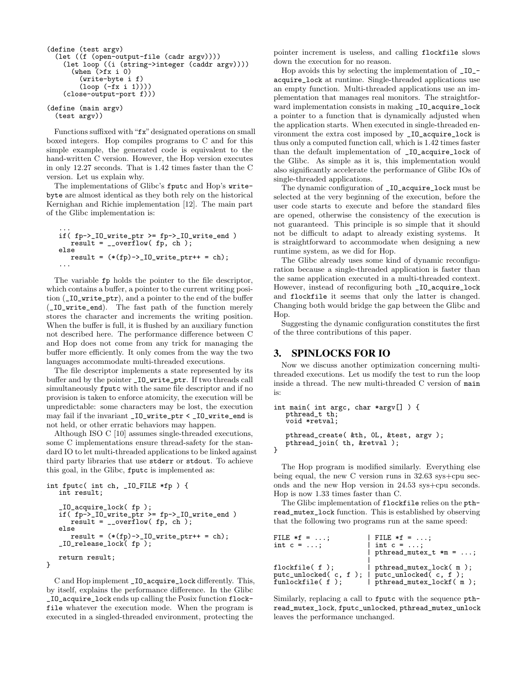```
(define (test argv)
  (let ((f (open-output-file (cadr argv))))
    (let loop ((i (string->integer (caddr argv))))
      (\text{when } (\text{f}x \text{ i } 0))(write-byte i f)
         (loop (-fx i 1))))
    (close-output-port f)))
(define (main argv)
```
(test argv))

Functions suffixed with "fx" designated operations on small boxed integers. Hop compiles programs to C and for this simple example, the generated code is equivalent to the hand-written C version. However, the Hop version executes in only 12.27 seconds. That is 1.42 times faster than the C version. Let us explain why.

The implementations of Glibc's fputc and Hop's writebyte are almost identical as they both rely on the historical Kernighan and Richie implementation [12]. The main part of the Glibc implementation is:

... if( fp->\_IO\_write\_ptr >= fp->\_IO\_write\_end ) result = \_\_overflow( fp, ch ); else result = (\*(fp)->\_IO\_write\_ptr++ = ch); ...

The variable fp holds the pointer to the file descriptor, which contains a buffer, a pointer to the current writing position (\_IO\_write\_ptr), and a pointer to the end of the buffer (\_IO\_write\_end). The fast path of the function merely stores the character and increments the writing position. When the buffer is full, it is flushed by an auxiliary function not described here. The performance difference between C and Hop does not come from any trick for managing the buffer more efficiently. It only comes from the way the two languages accommodate multi-threaded executions.

The file descriptor implements a state represented by its buffer and by the pointer \_IO\_write\_ptr. If two threads call simultaneously fputc with the same file descriptor and if no provision is taken to enforce atomicity, the execution will be unpredictable: some characters may be lost, the execution may fail if the invariant \_IO\_write\_ptr < \_IO\_write\_end is not held, or other erratic behaviors may happen.

Although ISO C [10] assumes single-threaded executions, some C implementations ensure thread-safety for the standard IO to let multi-threaded applications to be linked against third party libraries that use stderr or stdout. To achieve this goal, in the Glibc, fputc is implemented as:

```
int fputc( int ch, _IO_FILE *fp ) {
   int result;
   _IO_acquire_lock( fp );
   if( fp - > 10_write_ptr >= fp - > 10_write_end )
      result = -overflow(fp, ch);else
      result = (*(fp)->10\_write\_ptr++ = ch);_IO_release_lock( fp );
   return result;
}
```
C and Hop implement \_IO\_acquire\_lock differently. This, by itself, explains the performance difference. In the Glibc \_IO\_acquire\_lock ends up calling the Posix function flockfile whatever the execution mode. When the program is executed in a singled-threaded environment, protecting the

pointer increment is useless, and calling flockfile slows down the execution for no reason.

Hop avoids this by selecting the implementation of \_IO\_ acquire\_lock at runtime. Single-threaded applications use an empty function. Multi-threaded applications use an implementation that manages real monitors. The straightforward implementation consists in making \_IO\_acquire\_lock a pointer to a function that is dynamically adjusted when the application starts. When executed in single-threaded environment the extra cost imposed by \_IO\_acquire\_lock is thus only a computed function call, which is 1.42 times faster than the default implementation of \_IO\_acquire\_lock of the Glibc. As simple as it is, this implementation would also significantly accelerate the performance of Glibc IOs of single-threaded applications.

The dynamic configuration of \_IO\_acquire\_lock must be selected at the very beginning of the execution, before the user code starts to execute and before the standard files are opened, otherwise the consistency of the execution is not guaranteed. This principle is so simple that it should not be difficult to adapt to already existing systems. It is straightforward to accommodate when designing a new runtime system, as we did for Hop.

The Glibc already uses some kind of dynamic reconfiguration because a single-threaded application is faster than the same application executed in a multi-threaded context. However, instead of reconfiguring both \_IO\_acquire\_lock and flockfile it seems that only the latter is changed. Changing both would bridge the gap between the Glibc and Hop.

Suggesting the dynamic configuration constitutes the first of the three contributions of this paper.

#### 3. SPINLOCKS FOR IO

Now we discuss another optimization concerning multithreaded executions. Let us modify the test to run the loop inside a thread. The new multi-threaded C version of main is:

```
int main( int argc, char *argv[] ) {
   pthread_t th;
   void *retval;
   pthread_create( &th, 0L, &test, argv );
   pthread_join( th, &retval );
}
```
The Hop program is modified similarly. Everything else being equal, the new C version runs in 32.63 sys+cpu seconds and the new Hop version in 24.53 sys+cpu seconds. Hop is now 1.33 times faster than C.

The Glibc implementation of flockfile relies on the pthread\_mutex\_lock function. This is established by observing that the following two programs run at the same speed:

```
FILE *f = ...; | FILE *f = ...;<br>int c = ...; | int c = ...;int c = ...;| pthread_mutex_t *m = ...;
                               |
flockfile( f ); | pthread_mutex_lock( m );
putc_unlocked( c, f ); | putc_unlocked( c, f );<br>funlockfile( f ); | pthread_mutex_lockf( m
                              | pthread_mutex_lockf( m );
```
Similarly, replacing a call to fputc with the sequence pthread\_mutex\_lock, fputc\_unlocked, pthread\_mutex\_unlock leaves the performance unchanged.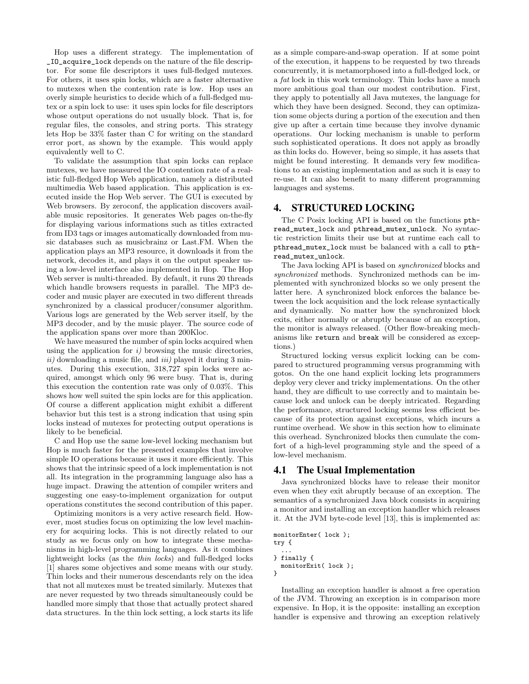Hop uses a different strategy. The implementation of \_IO\_acquire\_lock depends on the nature of the file descriptor. For some file descriptors it uses full-fledged mutexes. For others, it uses spin locks, which are a faster alternative to mutexes when the contention rate is low. Hop uses an overly simple heuristics to decide which of a full-fledged mutex or a spin lock to use: it uses spin locks for file descriptors whose output operations do not usually block. That is, for regular files, the consoles, and string ports. This strategy lets Hop be 33% faster than C for writing on the standard error port, as shown by the example. This would apply equivalently well to C.

To validate the assumption that spin locks can replace mutexes, we have measured the IO contention rate of a realistic full-fledged Hop Web application, namely a distributed multimedia Web based application. This application is executed inside the Hop Web server. The GUI is executed by Web browsers. By zeroconf, the application discovers available music repositories. It generates Web pages on-the-fly for displaying various informations such as titles extracted from ID3 tags or images automatically downloaded from music databases such as musicbrainz or Last.FM. When the application plays an MP3 resource, it downloads it from the network, decodes it, and plays it on the output speaker using a low-level interface also implemented in Hop. The Hop Web server is multi-threaded. By default, it runs 20 threads which handle browsers requests in parallel. The MP3 decoder and music player are executed in two different threads synchronized by a classical producer/consumer algorithm. Various logs are generated by the Web server itself, by the MP3 decoder, and by the music player. The source code of the application spans over more than 200Kloc.

We have measured the number of spin locks acquired when using the application for  $i$ ) browsing the music directories,  $ii)$  downloading a music file, and  $iii)$  played it during 3 minutes. During this execution, 318,727 spin locks were acquired, amongst which only 96 were busy. That is, during this execution the contention rate was only of 0.03%. This shows how well suited the spin locks are for this application. Of course a different application might exhibit a different behavior but this test is a strong indication that using spin locks instead of mutexes for protecting output operations is likely to be beneficial.

C and Hop use the same low-level locking mechanism but Hop is much faster for the presented examples that involve simple IO operations because it uses it more efficiently. This shows that the intrinsic speed of a lock implementation is not all. Its integration in the programming language also has a huge impact. Drawing the attention of compiler writers and suggesting one easy-to-implement organization for output operations constitutes the second contribution of this paper.

Optimizing monitors is a very active research field. However, most studies focus on optimizing the low level machinery for acquiring locks. This is not directly related to our study as we focus only on how to integrate these mechanisms in high-level programming languages. As it combines lightweight locks (as the thin locks) and full-fledged locks [1] shares some objectives and some means with our study. Thin locks and their numerous descendants rely on the idea that not all mutexes must be treated similarly. Mutexes that are never requested by two threads simultaneously could be handled more simply that those that actually protect shared data structures. In the thin lock setting, a lock starts its life as a simple compare-and-swap operation. If at some point of the execution, it happens to be requested by two threads concurrently, it is metamorphosed into a full-fledged lock, or a fat lock in this work terminology. Thin locks have a much more ambitious goal than our modest contribution. First, they apply to potentially all Java mutexes, the language for which they have been designed. Second, they can optimization some objects during a portion of the execution and then give up after a certain time because they involve dynamic operations. Our locking mechanism is unable to perform such sophisticated operations. It does not apply as broadly as thin locks do. However, being so simple, it has assets that might be found interesting. It demands very few modifications to an existing implementation and as such it is easy to re-use. It can also benefit to many different programming languages and systems.

#### 4. STRUCTURED LOCKING

The C Posix locking API is based on the functions pthread\_mutex\_lock and pthread\_mutex\_unlock. No syntactic restriction limits their use but at runtime each call to pthread\_mutex\_lock must be balanced with a call to pthread\_mutex\_unlock.

The Java locking API is based on synchronized blocks and synchronized methods. Synchronized methods can be implemented with synchronized blocks so we only present the latter here. A synchronized block enforces the balance between the lock acquisition and the lock release syntactically and dynamically. No matter how the synchronized block exits, either normally or abruptly because of an exception, the monitor is always released. (Other flow-breaking mechanisms like return and break will be considered as exceptions.)

Structured locking versus explicit locking can be compared to structured programming versus programming with gotos. On the one hand explicit locking lets programmers deploy very clever and tricky implementations. On the other hand, they are difficult to use correctly and to maintain because lock and unlock can be deeply intricated. Regarding the performance, structured locking seems less efficient because of its protection against exceptions, which incurs a runtime overhead. We show in this section how to eliminate this overhead. Synchronized blocks then cumulate the comfort of a high-level programming style and the speed of a low-level mechanism.

#### 4.1 The Usual Implementation

Java synchronized blocks have to release their monitor even when they exit abruptly because of an exception. The semantics of a synchronized Java block consists in acquiring a monitor and installing an exception handler which releases it. At the JVM byte-code level [13], this is implemented as:

```
monitorEnter( lock );
try {
  ...
} finally {
  monitorExit( lock );
}
```
Installing an exception handler is almost a free operation of the JVM. Throwing an exception is in comparison more expensive. In Hop, it is the opposite: installing an exception handler is expensive and throwing an exception relatively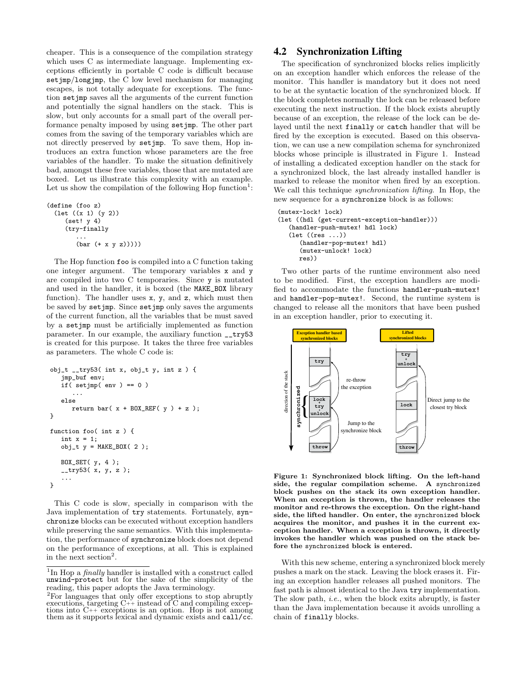cheaper. This is a consequence of the compilation strategy which uses C as intermediate language. Implementing exceptions efficiently in portable C code is difficult because set  $\text{imp}/\text{long}$  imp, the C low level mechanism for managing escapes, is not totally adequate for exceptions. The function setjmp saves all the arguments of the current function and potentially the signal handlers on the stack. This is slow, but only accounts for a small part of the overall performance penalty imposed by using setjmp. The other part comes from the saving of the temporary variables which are not directly preserved by setjmp. To save them, Hop introduces an extra function whose parameters are the free variables of the handler. To make the situation definitively bad, amongst these free variables, those that are mutated are boxed. Let us illustrate this complexity with an example. Let us show the compilation of the following Hop function<sup>1</sup>:

```
(define (foo z)
  (let ((x 1) (y 2))
     (set! y 4)
     (try-finally
        ...
        (bar (+ x y z)))))
```
The Hop function foo is compiled into a C function taking one integer argument. The temporary variables x and y are compiled into two C temporaries. Since y is mutated and used in the handler, it is boxed (the MAKE\_BOX library function). The handler uses x, y, and z, which must then be saved by setjmp. Since setjmp only saves the arguments of the current function, all the variables that be must saved by a setjmp must be artificially implemented as function parameter. In our example, the auxiliary function \_\_try53 is created for this purpose. It takes the three free variables as parameters. The whole C code is:

```
obj_t __try53( int x, obj_t y, int z ) {
   jmp_buf env;
   if( setjmp( env ) == 0 )
      ...
   else
      return bar(x + B0X_REF(y) + z);
}
function foo( int z ) {
   int x = 1;
   obj_t y = \text{MAKE}_BOX(2);
   BOX_SET( y, 4 );
   __try53( x, y, z );
   ...
}
```
This C code is slow, specially in comparison with the Java implementation of try statements. Fortunately, synchronize blocks can be executed without exception handlers while preserving the same semantics. With this implementation, the performance of synchronize block does not depend on the performance of exceptions, at all. This is explained in the next section<sup>2</sup>.

### 4.2 Synchronization Lifting

The specification of synchronized blocks relies implicitly on an exception handler which enforces the release of the monitor. This handler is mandatory but it does not need to be at the syntactic location of the synchronized block. If the block completes normally the lock can be released before executing the next instruction. If the block exists abruptly because of an exception, the release of the lock can be delayed until the next finally or catch handler that will be fired by the exception is executed. Based on this observation, we can use a new compilation schema for synchronized blocks whose principle is illustrated in Figure 1. Instead of installing a dedicated exception handler on the stack for a synchronized block, the last already installed handler is marked to release the monitor when fired by an exception. We call this technique synchronization lifting. In Hop, the new sequence for a synchronize block is as follows:

```
(mutex-lock! lock)
(let ((hdl (get-current-exception-handler)))
   (handler-push-mutex! hdl lock)
   (let ((res ...))
      (handler-pop-mutex! hdl)
      (mutex-unlock! lock)
```
res))

Two other parts of the runtime environment also need to be modified. First, the exception handlers are modified to accommodate the functions handler-push-mutex! and handler-pop-mutex!. Second, the runtime system is changed to release all the monitors that have been pushed in an exception handler, prior to executing it.



Figure 1: Synchronized block lifting. On the left-hand side, the regular compilation scheme. A synchronized block pushes on the stack its own exception handler. When an exception is thrown, the handler releases the monitor and re-throws the exception. On the right-hand side, the lifted handler. On enter, the synchronized block acquires the monitor, and pushes it in the current exception handler. When a exception is thrown, it directly invokes the handler which was pushed on the stack before the synchronized block is entered.

With this new scheme, entering a synchronized block merely pushes a mark on the stack. Leaving the block erases it. Firing an exception handler releases all pushed monitors. The fast path is almost identical to the Java try implementation. The slow path, i.e., when the block exits abruptly, is faster than the Java implementation because it avoids unrolling a chain of finally blocks.

<sup>&</sup>lt;sup>1</sup>In Hop a *finally* handler is installed with a construct called unwind-protect but for the sake of the simplicity of the reading, this paper adopts the Java terminology.

<sup>2</sup>For languages that only offer exceptions to stop abruptly executions, targeting C++ instead of C and compiling exceptions into C++ exceptions is an option. Hop is not among them as it supports lexical and dynamic exists and call/cc.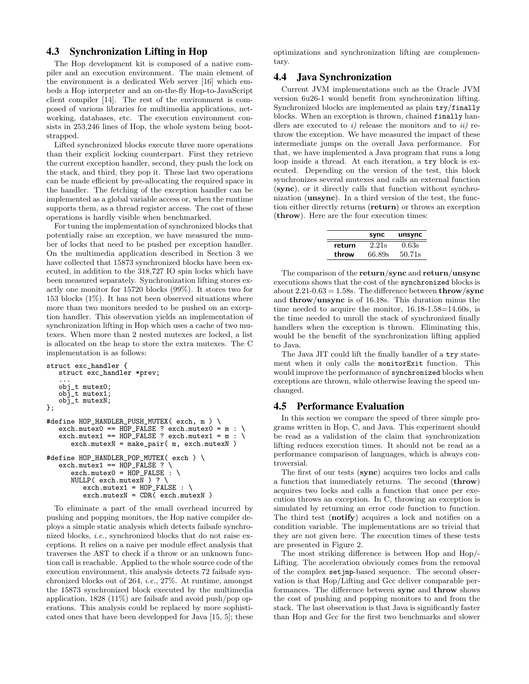### 4.3 Synchronization Lifting in Hop

The Hop development kit is composed of a native compiler and an execution environment. The main element of the environment is a dedicated Web server [16] which embeds a Hop interpreter and an on-the-fly Hop-to-JavaScript client compiler [14]. The rest of the environment is composed of various libraries for multimedia applications, networking, databases, etc. The execution environment consists in 253,246 lines of Hop, the whole system being bootstrapped.

Lifted synchronized blocks execute three more operations than their explicit locking counterpart. First they retrieve the current exception handler, second, they push the lock on the stack, and third, they pop it. These last two operations can be made efficient by pre-allocating the required space in the handler. The fetching of the exception handler can be implemented as a global variable access or, when the runtime supports them, as a thread register access. The cost of these operations is hardly visible when benchmarked.

For tuning the implementation of synchronized blocks that potentially raise an exception, we have measured the number of locks that need to be pushed per exception handler. On the multimedia application described in Section 3 we have collected that 15873 synchronized blocks have been executed, in addition to the 318,727 IO spin locks which have been measured separately. Synchronization lifting stores exactly one monitor for 15720 blocks (99%). It stores two for 153 blocks  $(1\%)$ . It has not been observed situations where more than two monitors needed to be pushed on an exception handler. This observation yields an implementation of synchronization lifting in Hop which uses a cache of two mutexes. When more than 2 nested mutexes are locked, a list is allocated on the heap to store the extra mutexes. The C implementation is as follows:

```
struct exc_handler {
   struct exc_handler *prev;
   ...
obj_t mutex0;
   obj_t mutex1;
   obj_t mutexN;
};
#define HOP_HANDLER_PUSH_MUTEX( exch, m ) \
   exch.mutesO == HOP_FALSE ? exch.mutesO = m : \ \ \ \ \exch.mutes1 == HOP_FALSE ? exch.mutes1 = m : \ \ \ \ \exch.mutexN = make_pair( m, exch.mutexN )
#define HOP_HANDLER_POP_MUTEX( exch ) \
   exch.mutes1 = HOP_FALSE ?
      exch.mutex0 = HOP_FALSE : \
      NULLP( exch.mutexN ) ? \
         exch.mutes1 = HOP_FALSE : \ \ \ \ \exch.mutexN = CDR( exch.mutexN )
```
To eliminate a part of the small overhead incurred by pushing and popping monitors, the Hop native compiler deploys a simple static analysis which detects failsafe synchronized blocks, i.e., synchronized blocks that do not raise exceptions. It relies on a naive per module effect analysis that traverses the AST to check if a throw or an unknown function call is reachable. Applied to the whole source code of the execution environment, this analysis detects 72 failsafe synchronized blocks out of 264, i.e., 27%. At runtime, amongst the 15873 synchronized block executed by the multimedia application, 1828 (11%) are failsafe and avoid push/pop operations. This analysis could be replaced by more sophisticated ones that have been developped for Java [15, 5]; these optimizations and synchronization lifting are complementary.

#### 4.4 Java Synchronization

Current JVM implementations such as the Oracle JVM version 6u26-1 would benefit from synchronization lifting. Synchronized blocks are implemented as plain try/finally blocks. When an exception is thrown, chained finally handlers are executed to i) release the monitors and to ii) rethrow the exception. We have measured the impact of these intermediate jumps on the overall Java performance. For that, we have implemented a Java program that runs a long loop inside a thread. At each iteration, a try block is executed. Depending on the version of the test, this block synchronizes several mutexes and calls an external function (sync), or it directly calls that function without synchronization (unsync). In a third version of the test, the function either directly returns (return) or throws an exception (throw). Here are the four execution times:

|        | sync   | unsync |
|--------|--------|--------|
| return | 2.21s  | 0.63s  |
| throw  | 66.89s | 50.71s |

The comparison of the return/sync and return/unsync executions shows that the cost of the synchronized blocks is about  $2.21$ -0.63 = 1.58s. The difference between **throw**/sync and throw/unsync is of 16.18s. This duration minus the time needed to acquire the monitor, 16.18-1.58=14.60s, is the time needed to unroll the stack of synchronized finally handlers when the exception is thrown. Eliminating this, would be the benefit of the synchronization lifting applied to Java.

The Java JIT could lift the finally handler of a try statement when it only calls the monitorExit function. This would improve the performance of synchronized blocks when exceptions are thrown, while otherwise leaving the speed unchanged.

#### 4.5 Performance Evaluation

In this section we compare the speed of three simple programs written in Hop, C, and Java. This experiment should be read as a validation of the claim that synchronization lifting reduces execution times. It should not be read as a performance comparison of languages, which is always controversial.

The first of our tests (sync) acquires two locks and calls a function that immediately returns. The second (throw) acquires two locks and calls a function that once per execution throws an exception. In C, throwing an exception is simulated by returning an error code function to function. The third test (notify) acquires a lock and notifies on a condition variable. The implementations are so trivial that they are not given here. The execution times of these tests are presented in Figure 2.

The most striking difference is between Hop and Hop/- Lifting. The acceleration obviously comes from the removal of the complex setjmp-based sequence. The second observation is that Hop/Lifting and Gcc deliver comparable performances. The difference between sync and throw shows the cost of pushing and popping monitors to and from the stack. The last observation is that Java is significantly faster than Hop and Gcc for the first two benchmarks and slower